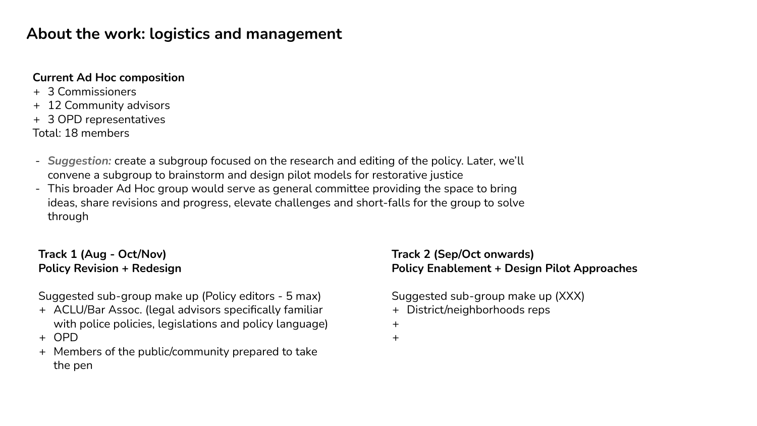## **About the work: logistics and management**

### **Current Ad Hoc composition**

- + 3 Commissioners
- + 12 Community advisors
- + 3 OPD representatives
- Total: 18 members
- *Suggestion:* create a subgroup focused on the research and editing of the policy. Later, we'll convene a subgroup to brainstorm and design pilot models for restorative justice
- This broader Ad Hoc group would serve as general committee providing the space to bring ideas, share revisions and progress, elevate challenges and short-falls for the group to solve through

## **Track 1 (Aug - Oct/Nov) Policy Revision + Redesign**

Suggested sub-group make up (Policy editors - 5 max)

- + ACLU/Bar Assoc. (legal advisors specifically familiar with police policies, legislations and policy language)
- + OPD
- + Members of the public/community prepared to take the pen

## **Track 2 (Sep/Oct onwards) Policy Enablement + Design Pilot Approaches**

Suggested sub-group make up (XXX)

- + District/neighborhoods reps
- +
- +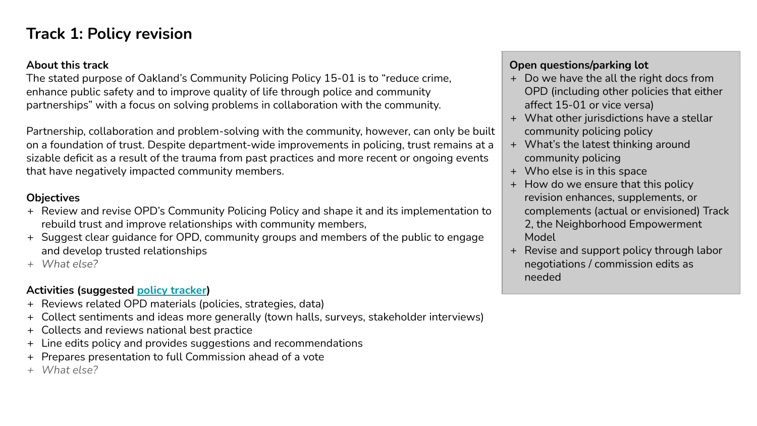## **Track 1: Policy revision**

#### **About this track**

The stated purpose of Oakland's Community Policing Policy 15-01 is to "reduce crime, enhance public safety and to improve quality of life through police and community partnerships" with a focus on solving problems in collaboration with the community.

Partnership, collaboration and problem-solving with the community, however, can only be built on a foundation of trust. Despite department-wide improvements in policing, trust remains at a sizable deficit as a result of the trauma from past practices and more recent or ongoing events that have negatively impacted community members.

### **Objectives**

- + Review and revise OPD's Community Policing Policy and shape it and its implementation to rebuild trust and improve relationships with community members,
- + Suggest clear guidance for OPD, community groups and members of the public to engage and develop trusted relationships
- *+ What else?*

## **Activities (suggested policy tracker)**

- + Reviews related OPD materials (policies, strategies, data)
- + Collect sentiments and ideas more generally (town halls, surveys, stakeholder interviews)
- + Collects and reviews national best practice
- + Line edits policy and provides suggestions and recommendations
- + Prepares presentation to full Commission ahead of a vote
- *+ What else?*

## **Open questions/parking lot**

- + Do we have the all the right docs from OPD (including other policies that either affect 15-01 or vice versa)
- + What other jurisdictions have a stellar community policing policy
- + What's the latest thinking around community policing
- + Who else is in this space
- + How do we ensure that this policy revision enhances, supplements, or complements (actual or envisioned) Track 2, the Neighborhood Empowerment Model
- + Revise and support policy through labor negotiations / commission edits as needed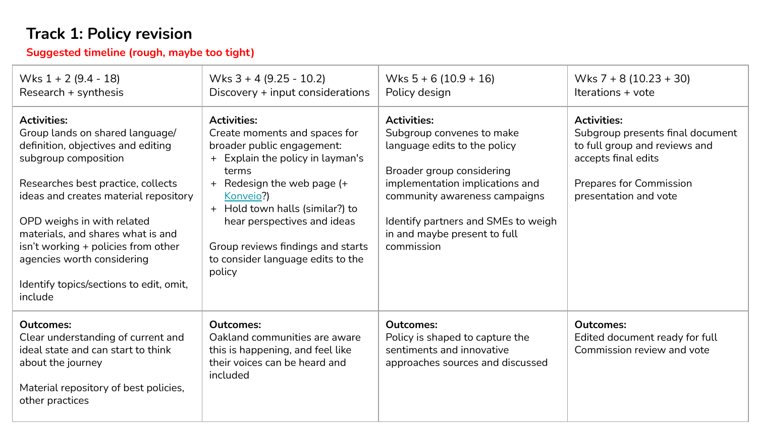# **Track 1: Policy revision**

**Suggested timeline (rough, maybe too tight)**

| Wks $1 + 2 (9.4 - 18)$<br>Research + synthesis                                                                                                                                                                                                                                                                                                                                                   | Wks $3 + 4$ (9.25 - 10.2)<br>Discovery + input considerations                                                                                                                                                                                                                                                                   | Wks $5 + 6(10.9 + 16)$<br>Policy design                                                                                                                                                                                                                               | Wks $7 + 8(10.23 + 30)$<br>Iterations + vote                                                                                                                       |
|--------------------------------------------------------------------------------------------------------------------------------------------------------------------------------------------------------------------------------------------------------------------------------------------------------------------------------------------------------------------------------------------------|---------------------------------------------------------------------------------------------------------------------------------------------------------------------------------------------------------------------------------------------------------------------------------------------------------------------------------|-----------------------------------------------------------------------------------------------------------------------------------------------------------------------------------------------------------------------------------------------------------------------|--------------------------------------------------------------------------------------------------------------------------------------------------------------------|
| <b>Activities:</b><br>Group lands on shared language/<br>definition, objectives and editing<br>subgroup composition<br>Researches best practice, collects<br>ideas and creates material repository<br>OPD weighs in with related<br>materials, and shares what is and<br>isn't working + policies from other<br>agencies worth considering<br>Identify topics/sections to edit, omit,<br>include | <b>Activities:</b><br>Create moments and spaces for<br>broader public engagement:<br>+ Explain the policy in layman's<br>terms<br>+ Redesign the web page (+<br>Konveio?)<br>+ Hold town halls (similar?) to<br>hear perspectives and ideas<br>Group reviews findings and starts<br>to consider language edits to the<br>policy | <b>Activities:</b><br>Subgroup convenes to make<br>language edits to the policy<br>Broader group considering<br>implementation implications and<br>community awareness campaigns<br>Identify partners and SMEs to weigh<br>in and maybe present to full<br>commission | <b>Activities:</b><br>Subgroup presents final document<br>to full group and reviews and<br>accepts final edits<br>Prepares for Commission<br>presentation and vote |
| <b>Outcomes:</b><br>Clear understanding of current and<br>ideal state and can start to think<br>about the journey<br>Material repository of best policies,<br>other practices                                                                                                                                                                                                                    | <b>Outcomes:</b><br>Oakland communities are aware<br>this is happening, and feel like<br>their voices can be heard and<br>included                                                                                                                                                                                              | <b>Outcomes:</b><br>Policy is shaped to capture the<br>sentiments and innovative<br>approaches sources and discussed                                                                                                                                                  | <b>Outcomes:</b><br>Edited document ready for full<br>Commission review and vote                                                                                   |